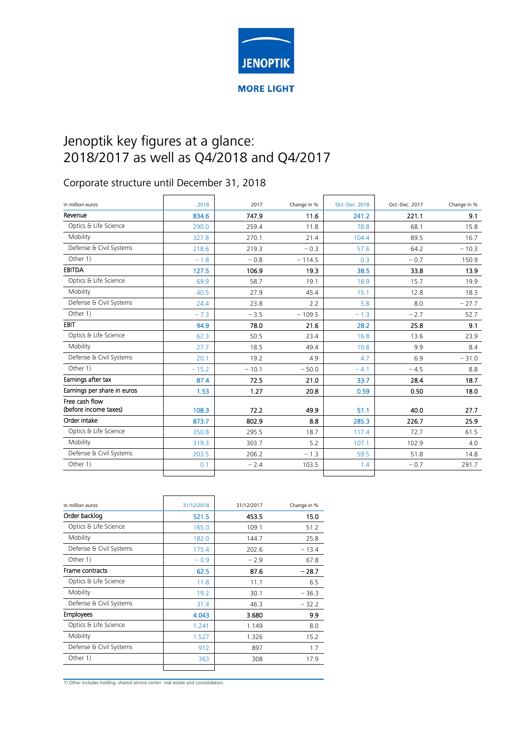

## Jenoptik key figures at a glance: 2018/2017 as well as Q4/2018 and Q4/2017

## Corporate structure until December 31, 2018

| in million euros            | 2018    | 2017    | Change in % | Oct.-Dec. 2018 | Oct.-Dec. 2017 | Change in % |
|-----------------------------|---------|---------|-------------|----------------|----------------|-------------|
|                             |         |         |             |                |                |             |
| Revenue                     | 834.6   | 747.9   | 11.6        | 241.2          | 221.1          | 9.1         |
| Optics & Life Science       | 290.0   | 259.4   | 11.8        | 78.8           | 68.1           | 15.8        |
| Mobility                    | 327.8   | 270.1   | 21.4        | 104.4          | 89.5           | 16.7        |
| Defense & Civil Systems     | 218.6   | 219.3   | $-0.3$      | 57.6           | 64.2           | $-10.3$     |
| Other 1)                    | $-1.8$  | $-0.8$  | $-114.5$    | 0.3            | $-0.7$         | 150.9       |
| <b>EBITDA</b>               | 127.5   | 106.9   | 19.3        | 38.5           | 33.8           | 13.9        |
| Optics & Life Science       | 69.9    | 58.7    | 19.1        | 18.9           | 15.7           | 19.9        |
| Mobility                    | 40.5    | 27.9    | 45.4        | 15.1           | 12.8           | 18.3        |
| Defense & Civil Systems     | 24.4    | 23.8    | 2.2         | 5.8            | 8.0            | $-27.7$     |
| Other 1)                    | $-7.3$  | $-3.5$  | $-109.5$    | $-1.3$         | $-2.7$         | 52.7        |
| EBIT                        | 94.9    | 78.0    | 21.6        | 28.2           | 25.8           | 9.1         |
| Optics & Life Science       | 62.3    | 50.5    | 23.4        | 16.8           | 13.6           | 23.9        |
| Mobility                    | 27.7    | 18.5    | 49.4        | 10.8           | 9.9            | 8.4         |
| Defense & Civil Systems     | 20.1    | 19.2    | 4.9         | 4.7            | 6.9            | $-31.0$     |
| Other 1)                    | $-15.2$ | $-10.1$ | $-50.0$     | $-4.1$         | $-4.5$         | 8.8         |
| Earnings after tax          | 87.4    | 72.5    | 21.0        | 33.7           | 28.4           | 18.7        |
| Earnings per share in euros | 1.53    | 1.27    | 20.8        | 0.59           | 0.50           | 18.0        |
| Free cash flow              |         |         |             |                |                |             |
| (before income taxes)       | 108.3   | 72.2    | 49.9        | 51.1           | 40.0           | 27.7        |
| Order intake                | 873.7   | 802.9   | 8.8         | 285.3          | 226.7          | 25.9        |
| Optics & Life Science       | 350.8   | 295.5   | 18.7        | 117.4          | 72.7           | 61.5        |
| Mobility                    | 319.3   | 303.7   | 5.2         | 107.1          | 102.9          | 4.0         |
| Defense & Civil Systems     | 203.5   | 206.2   | $-1.3$      | 59.5           | 51.8           | 14.8        |
| Other 1)                    | 0.1     | $-2.4$  | 103.5       | 1.4            | $-0.7$         | 291.7       |
|                             |         |         |             |                |                |             |

| in million euros        | 31/12/2018 | 31/12/2017 | Change in % |
|-------------------------|------------|------------|-------------|
| Order backlog           | 521.5      | 453.5      | 15.0        |
| Optics & Life Science   | 165.0      | 109.1      | 51.2        |
| Mobility                | 182.0      | 144.7      | 25.8        |
| Defense & Civil Systems | 175.4      | 202.6      | $-13.4$     |
| Other 1)                | $-0.9$     | $-2.9$     | 67.8        |
| Frame contracts         | 62.5       | 87.6       | $-28.7$     |
| Optics & Life Science   | 11.8       | 11.1       | 6.5         |
| Mobility                | 19.2       | 30.1       | $-36.3$     |
| Defense & Civil Systems | 31.4       | 46.3       | $-32.2$     |
| <b>Employees</b>        | 4.043      | 3.680      | 9.9         |
| Optics & Life Science   | 1.241      | 1.149      | 8.0         |
| Mobility                | 1.527      | 1.326      | 15.2        |
| Defense & Civil Systems | 912        | 897        | 1.7         |
| Other 1)                | 363        | 308        | 17.9        |
|                         |            |            |             |

1) Other includes holding. shared service center. real estate and consolidation.